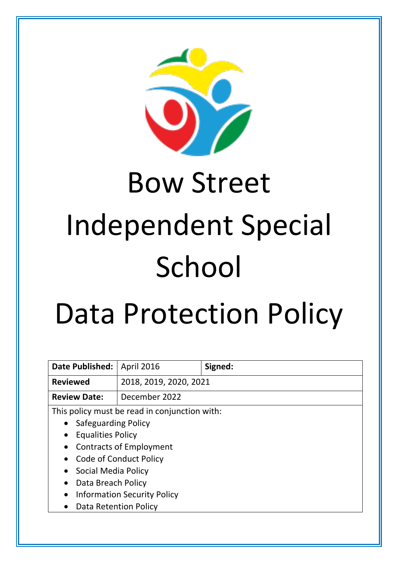

# Bow Street Independent Special School

# Data Protection Policy

| <b>Date Published:</b>                          | <b>April 2016</b>      | Signed: |  |
|-------------------------------------------------|------------------------|---------|--|
| <b>Reviewed</b>                                 | 2018, 2019, 2020, 2021 |         |  |
| <b>Review Date:</b>                             | December 2022          |         |  |
| This policy must be read in conjunction with:   |                        |         |  |
| Safeguarding Policy                             |                        |         |  |
| <b>Equalities Policy</b><br>$\bullet$           |                        |         |  |
| <b>Contracts of Employment</b><br>$\bullet$     |                        |         |  |
| Code of Conduct Policy<br>$\bullet$             |                        |         |  |
| Social Media Policy<br>$\bullet$                |                        |         |  |
| Data Breach Policy                              |                        |         |  |
| <b>Information Security Policy</b><br>$\bullet$ |                        |         |  |
| Data Retention Policy<br>$\bullet$              |                        |         |  |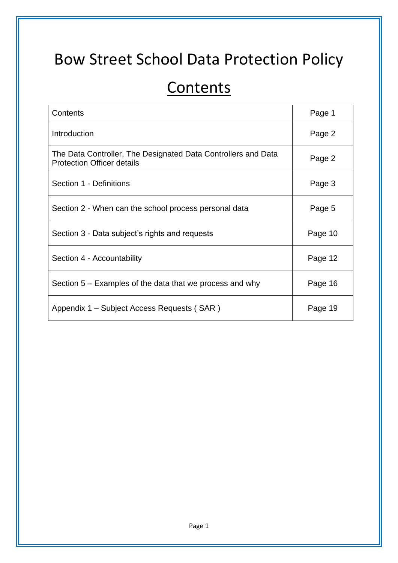# Bow Street School Data Protection Policy

# **Contents**

| Contents                                                                                           | Page 1  |
|----------------------------------------------------------------------------------------------------|---------|
| Introduction                                                                                       | Page 2  |
| The Data Controller, The Designated Data Controllers and Data<br><b>Protection Officer details</b> | Page 2  |
| Section 1 - Definitions                                                                            | Page 3  |
| Section 2 - When can the school process personal data                                              | Page 5  |
| Section 3 - Data subject's rights and requests                                                     | Page 10 |
| Section 4 - Accountability                                                                         | Page 12 |
| Section 5 – Examples of the data that we process and why                                           | Page 16 |
| Appendix 1 – Subject Access Requests (SAR)                                                         | Page 19 |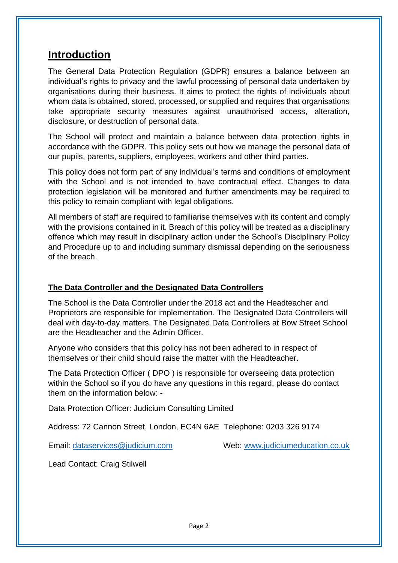### **Introduction**

The General Data Protection Regulation (GDPR) ensures a balance between an individual's rights to privacy and the lawful processing of personal data undertaken by organisations during their business. It aims to protect the rights of individuals about whom data is obtained, stored, processed, or supplied and requires that organisations take appropriate security measures against unauthorised access, alteration, disclosure, or destruction of personal data.

The School will protect and maintain a balance between data protection rights in accordance with the GDPR. This policy sets out how we manage the personal data of our pupils, parents, suppliers, employees, workers and other third parties.

This policy does not form part of any individual's terms and conditions of employment with the School and is not intended to have contractual effect. Changes to data protection legislation will be monitored and further amendments may be required to this policy to remain compliant with legal obligations.

All members of staff are required to familiarise themselves with its content and comply with the provisions contained in it. Breach of this policy will be treated as a disciplinary offence which may result in disciplinary action under the School's Disciplinary Policy and Procedure up to and including summary dismissal depending on the seriousness of the breach.

#### **The Data Controller and the Designated Data Controllers**

The School is the Data Controller under the 2018 act and the Headteacher and Proprietors are responsible for implementation. The Designated Data Controllers will deal with day-to-day matters. The Designated Data Controllers at Bow Street School are the Headteacher and the Admin Officer.

Anyone who considers that this policy has not been adhered to in respect of themselves or their child should raise the matter with the Headteacher.

The Data Protection Officer ( DPO ) is responsible for overseeing data protection within the School so if you do have any questions in this regard, please do contact them on the information below: -

Data Protection Officer: Judicium Consulting Limited

Address: 72 Cannon Street, London, EC4N 6AE Telephone: 0203 326 9174

Email: [dataservices@judicium.com](mailto:dataservices@judicium.com) Web: [www.judiciumeducation.co.uk](http://www.judiciumeducation.co.uk/)

Lead Contact: Craig Stilwell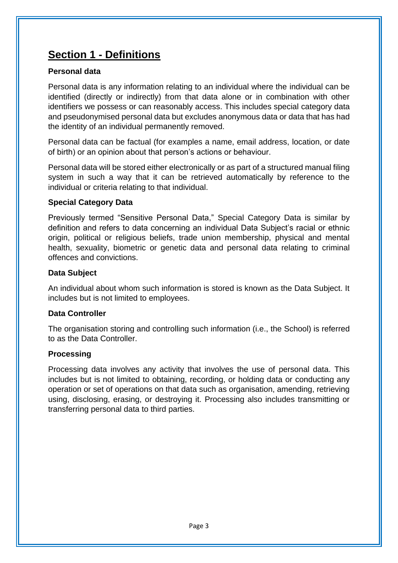# **Section 1 - Definitions**

#### **Personal data**

Personal data is any information relating to an individual where the individual can be identified (directly or indirectly) from that data alone or in combination with other identifiers we possess or can reasonably access. This includes special category data and pseudonymised personal data but excludes anonymous data or data that has had the identity of an individual permanently removed.

Personal data can be factual (for examples a name, email address, location, or date of birth) or an opinion about that person's actions or behaviour.

Personal data will be stored either electronically or as part of a structured manual filing system in such a way that it can be retrieved automatically by reference to the individual or criteria relating to that individual.

#### **Special Category Data**

Previously termed "Sensitive Personal Data," Special Category Data is similar by definition and refers to data concerning an individual Data Subject's racial or ethnic origin, political or religious beliefs, trade union membership, physical and mental health, sexuality, biometric or genetic data and personal data relating to criminal offences and convictions.

#### **Data Subject**

An individual about whom such information is stored is known as the Data Subject. It includes but is not limited to employees.

#### **Data Controller**

The organisation storing and controlling such information (i.e., the School) is referred to as the Data Controller.

#### **Processing**

Processing data involves any activity that involves the use of personal data. This includes but is not limited to obtaining, recording, or holding data or conducting any operation or set of operations on that data such as organisation, amending, retrieving using, disclosing, erasing, or destroying it. Processing also includes transmitting or transferring personal data to third parties.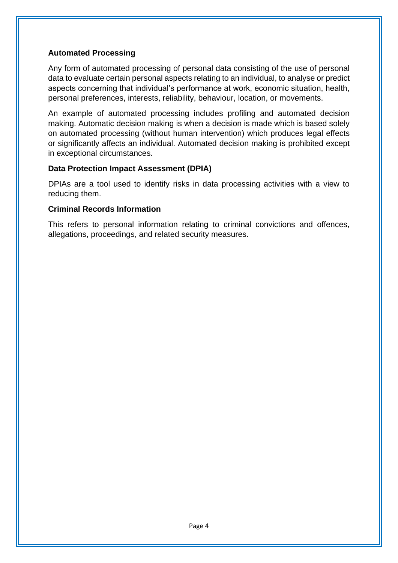#### **Automated Processing**

Any form of automated processing of personal data consisting of the use of personal data to evaluate certain personal aspects relating to an individual, to analyse or predict aspects concerning that individual's performance at work, economic situation, health, personal preferences, interests, reliability, behaviour, location, or movements.

An example of automated processing includes profiling and automated decision making. Automatic decision making is when a decision is made which is based solely on automated processing (without human intervention) which produces legal effects or significantly affects an individual. Automated decision making is prohibited except in exceptional circumstances.

#### **Data Protection Impact Assessment (DPIA)**

DPIAs are a tool used to identify risks in data processing activities with a view to reducing them.

#### **Criminal Records Information**

This refers to personal information relating to criminal convictions and offences, allegations, proceedings, and related security measures.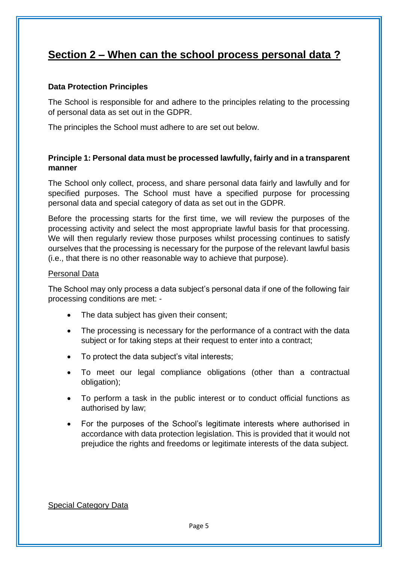# **Section 2 – When can the school process personal data ?**

#### **Data Protection Principles**

The School is responsible for and adhere to the principles relating to the processing of personal data as set out in the GDPR.

The principles the School must adhere to are set out below.

#### **Principle 1: Personal data must be processed lawfully, fairly and in a transparent manner**

The School only collect, process, and share personal data fairly and lawfully and for specified purposes. The School must have a specified purpose for processing personal data and special category of data as set out in the GDPR.

Before the processing starts for the first time, we will review the purposes of the processing activity and select the most appropriate lawful basis for that processing. We will then regularly review those purposes whilst processing continues to satisfy ourselves that the processing is necessary for the purpose of the relevant lawful basis (i.e., that there is no other reasonable way to achieve that purpose).

#### Personal Data

The School may only process a data subject's personal data if one of the following fair processing conditions are met: -

- The data subject has given their consent;
- The processing is necessary for the performance of a contract with the data subject or for taking steps at their request to enter into a contract;
- To protect the data subject's vital interests;
- To meet our legal compliance obligations (other than a contractual obligation);
- To perform a task in the public interest or to conduct official functions as authorised by law;
- For the purposes of the School's legitimate interests where authorised in accordance with data protection legislation. This is provided that it would not prejudice the rights and freedoms or legitimate interests of the data subject.

#### Special Category Data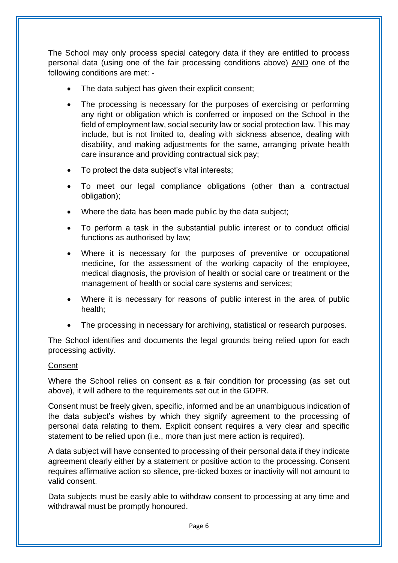The School may only process special category data if they are entitled to process personal data (using one of the fair processing conditions above) AND one of the following conditions are met: -

- The data subject has given their explicit consent;
- The processing is necessary for the purposes of exercising or performing any right or obligation which is conferred or imposed on the School in the field of employment law, social security law or social protection law. This may include, but is not limited to, dealing with sickness absence, dealing with disability, and making adjustments for the same, arranging private health care insurance and providing contractual sick pay;
- To protect the data subject's vital interests;
- To meet our legal compliance obligations (other than a contractual obligation);
- Where the data has been made public by the data subject;
- To perform a task in the substantial public interest or to conduct official functions as authorised by law;
- Where it is necessary for the purposes of preventive or occupational medicine, for the assessment of the working capacity of the employee, medical diagnosis, the provision of health or social care or treatment or the management of health or social care systems and services;
- Where it is necessary for reasons of public interest in the area of public health;
- The processing in necessary for archiving, statistical or research purposes.

The School identifies and documents the legal grounds being relied upon for each processing activity.

#### **Consent**

Where the School relies on consent as a fair condition for processing (as set out above), it will adhere to the requirements set out in the GDPR.

Consent must be freely given, specific, informed and be an unambiguous indication of the data subject's wishes by which they signify agreement to the processing of personal data relating to them. Explicit consent requires a very clear and specific statement to be relied upon (i.e., more than just mere action is required).

A data subject will have consented to processing of their personal data if they indicate agreement clearly either by a statement or positive action to the processing. Consent requires affirmative action so silence, pre-ticked boxes or inactivity will not amount to valid consent.

Data subjects must be easily able to withdraw consent to processing at any time and withdrawal must be promptly honoured.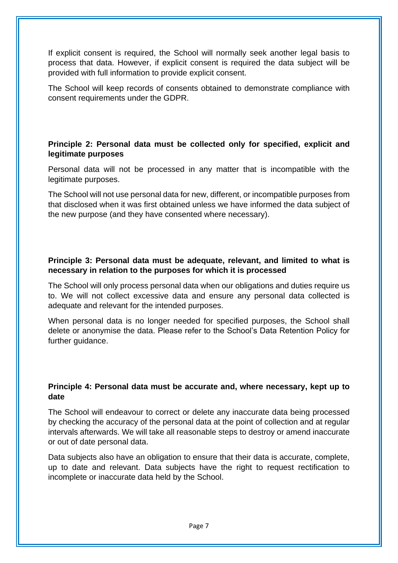If explicit consent is required, the School will normally seek another legal basis to process that data. However, if explicit consent is required the data subject will be provided with full information to provide explicit consent.

The School will keep records of consents obtained to demonstrate compliance with consent requirements under the GDPR.

#### **Principle 2: Personal data must be collected only for specified, explicit and legitimate purposes**

Personal data will not be processed in any matter that is incompatible with the legitimate purposes.

The School will not use personal data for new, different, or incompatible purposes from that disclosed when it was first obtained unless we have informed the data subject of the new purpose (and they have consented where necessary).

#### **Principle 3: Personal data must be adequate, relevant, and limited to what is necessary in relation to the purposes for which it is processed**

The School will only process personal data when our obligations and duties require us to. We will not collect excessive data and ensure any personal data collected is adequate and relevant for the intended purposes.

When personal data is no longer needed for specified purposes, the School shall delete or anonymise the data. Please refer to the School's Data Retention Policy for further quidance.

#### **Principle 4: Personal data must be accurate and, where necessary, kept up to date**

The School will endeavour to correct or delete any inaccurate data being processed by checking the accuracy of the personal data at the point of collection and at regular intervals afterwards. We will take all reasonable steps to destroy or amend inaccurate or out of date personal data.

Data subjects also have an obligation to ensure that their data is accurate, complete, up to date and relevant. Data subjects have the right to request rectification to incomplete or inaccurate data held by the School.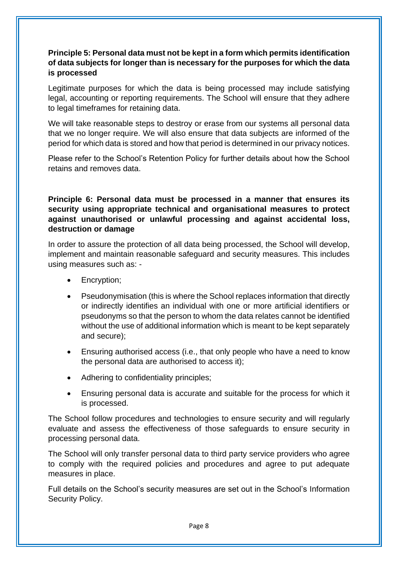#### **Principle 5: Personal data must not be kept in a form which permits identification of data subjects for longer than is necessary for the purposes for which the data is processed**

Legitimate purposes for which the data is being processed may include satisfying legal, accounting or reporting requirements. The School will ensure that they adhere to legal timeframes for retaining data.

We will take reasonable steps to destroy or erase from our systems all personal data that we no longer require. We will also ensure that data subjects are informed of the period for which data is stored and how that period is determined in our privacy notices.

Please refer to the School's Retention Policy for further details about how the School retains and removes data.

#### **Principle 6: Personal data must be processed in a manner that ensures its security using appropriate technical and organisational measures to protect against unauthorised or unlawful processing and against accidental loss, destruction or damage**

In order to assure the protection of all data being processed, the School will develop, implement and maintain reasonable safeguard and security measures. This includes using measures such as: -

- Encryption;
- Pseudonymisation (this is where the School replaces information that directly or indirectly identifies an individual with one or more artificial identifiers or pseudonyms so that the person to whom the data relates cannot be identified without the use of additional information which is meant to be kept separately and secure);
- Ensuring authorised access (i.e., that only people who have a need to know the personal data are authorised to access it);
- Adhering to confidentiality principles;
- Ensuring personal data is accurate and suitable for the process for which it is processed.

The School follow procedures and technologies to ensure security and will regularly evaluate and assess the effectiveness of those safeguards to ensure security in processing personal data.

The School will only transfer personal data to third party service providers who agree to comply with the required policies and procedures and agree to put adequate measures in place.

Full details on the School's security measures are set out in the School's Information Security Policy.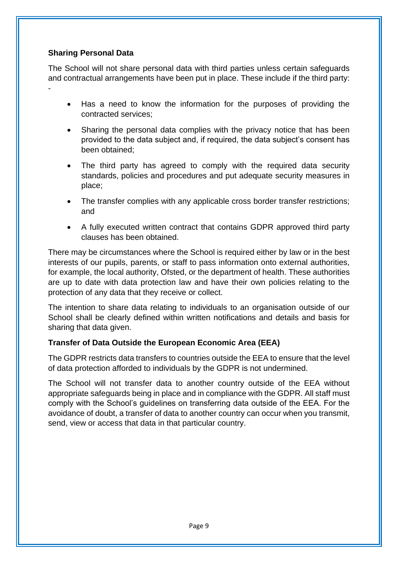#### **Sharing Personal Data**

The School will not share personal data with third parties unless certain safeguards and contractual arrangements have been put in place. These include if the third party: -

- Has a need to know the information for the purposes of providing the contracted services;
- Sharing the personal data complies with the privacy notice that has been provided to the data subject and, if required, the data subject's consent has been obtained;
- The third party has agreed to comply with the required data security standards, policies and procedures and put adequate security measures in place;
- The transfer complies with any applicable cross border transfer restrictions; and
- A fully executed written contract that contains GDPR approved third party clauses has been obtained.

There may be circumstances where the School is required either by law or in the best interests of our pupils, parents, or staff to pass information onto external authorities, for example, the local authority, Ofsted, or the department of health. These authorities are up to date with data protection law and have their own policies relating to the protection of any data that they receive or collect.

The intention to share data relating to individuals to an organisation outside of our School shall be clearly defined within written notifications and details and basis for sharing that data given.

#### **Transfer of Data Outside the European Economic Area (EEA)**

The GDPR restricts data transfers to countries outside the EEA to ensure that the level of data protection afforded to individuals by the GDPR is not undermined.

The School will not transfer data to another country outside of the EEA without appropriate safeguards being in place and in compliance with the GDPR. All staff must comply with the School's guidelines on transferring data outside of the EEA. For the avoidance of doubt, a transfer of data to another country can occur when you transmit, send, view or access that data in that particular country.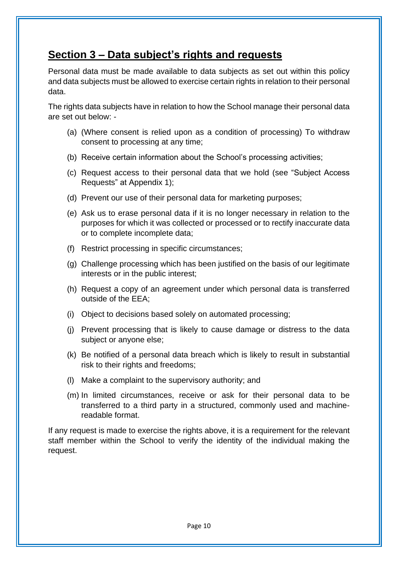## **Section 3 – Data subject's rights and requests**

Personal data must be made available to data subjects as set out within this policy and data subjects must be allowed to exercise certain rights in relation to their personal data.

The rights data subjects have in relation to how the School manage their personal data are set out below: -

- (a) (Where consent is relied upon as a condition of processing) To withdraw consent to processing at any time;
- (b) Receive certain information about the School's processing activities;
- (c) Request access to their personal data that we hold (see "Subject Access Requests" at Appendix 1);
- (d) Prevent our use of their personal data for marketing purposes;
- (e) Ask us to erase personal data if it is no longer necessary in relation to the purposes for which it was collected or processed or to rectify inaccurate data or to complete incomplete data;
- (f) Restrict processing in specific circumstances;
- (g) Challenge processing which has been justified on the basis of our legitimate interests or in the public interest;
- (h) Request a copy of an agreement under which personal data is transferred outside of the EEA;
- (i) Object to decisions based solely on automated processing;
- (j) Prevent processing that is likely to cause damage or distress to the data subject or anyone else;
- (k) Be notified of a personal data breach which is likely to result in substantial risk to their rights and freedoms;
- (l) Make a complaint to the supervisory authority; and
- (m) In limited circumstances, receive or ask for their personal data to be transferred to a third party in a structured, commonly used and machinereadable format.

If any request is made to exercise the rights above, it is a requirement for the relevant staff member within the School to verify the identity of the individual making the request.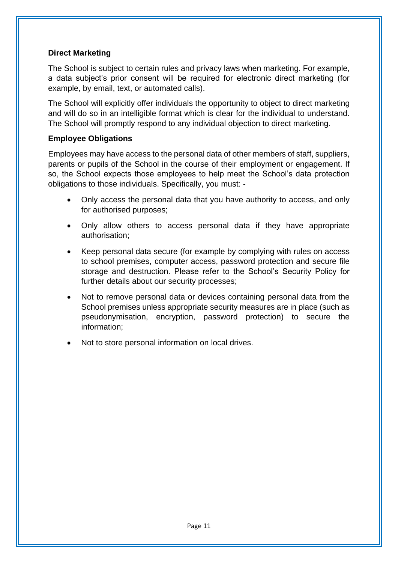#### **Direct Marketing**

The School is subject to certain rules and privacy laws when marketing. For example, a data subject's prior consent will be required for electronic direct marketing (for example, by email, text, or automated calls).

The School will explicitly offer individuals the opportunity to object to direct marketing and will do so in an intelligible format which is clear for the individual to understand. The School will promptly respond to any individual objection to direct marketing.

#### **Employee Obligations**

Employees may have access to the personal data of other members of staff, suppliers, parents or pupils of the School in the course of their employment or engagement. If so, the School expects those employees to help meet the School's data protection obligations to those individuals. Specifically, you must: -

- Only access the personal data that you have authority to access, and only for authorised purposes;
- Only allow others to access personal data if they have appropriate authorisation;
- Keep personal data secure (for example by complying with rules on access to school premises, computer access, password protection and secure file storage and destruction. Please refer to the School's Security Policy for further details about our security processes;
- Not to remove personal data or devices containing personal data from the School premises unless appropriate security measures are in place (such as pseudonymisation, encryption, password protection) to secure the information;
- Not to store personal information on local drives.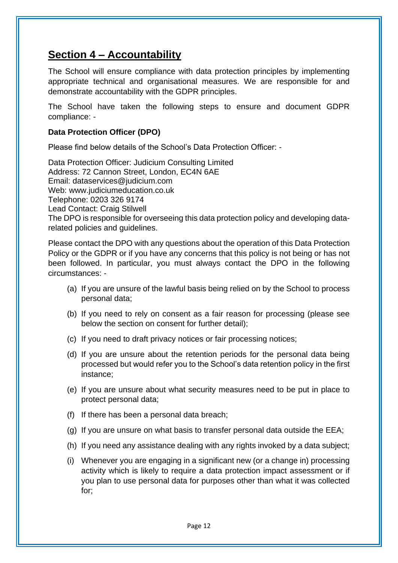### **Section 4 – Accountability**

The School will ensure compliance with data protection principles by implementing appropriate technical and organisational measures. We are responsible for and demonstrate accountability with the GDPR principles.

The School have taken the following steps to ensure and document GDPR compliance: -

#### **Data Protection Officer (DPO)**

Please find below details of the School's Data Protection Officer: -

Data Protection Officer: Judicium Consulting Limited Address: 72 Cannon Street, London, EC4N 6AE Email: [dataservices@judicium.com](mailto:dataservices@judicium.com) Web: www.judiciumeducation.co.uk Telephone: 0203 326 9174 Lead Contact: Craig Stilwell The DPO is responsible for overseeing this data protection policy and developing datarelated policies and guidelines.

Please contact the DPO with any questions about the operation of this Data Protection Policy or the GDPR or if you have any concerns that this policy is not being or has not been followed. In particular, you must always contact the DPO in the following circumstances: -

- (a) If you are unsure of the lawful basis being relied on by the School to process personal data;
- (b) If you need to rely on consent as a fair reason for processing (please see below the section on consent for further detail);
- (c) If you need to draft privacy notices or fair processing notices;
- (d) If you are unsure about the retention periods for the personal data being processed but would refer you to the School's data retention policy in the first instance;
- (e) If you are unsure about what security measures need to be put in place to protect personal data;
- (f) If there has been a personal data breach;
- (g) If you are unsure on what basis to transfer personal data outside the EEA;
- (h) If you need any assistance dealing with any rights invoked by a data subject;
- (i) Whenever you are engaging in a significant new (or a change in) processing activity which is likely to require a data protection impact assessment or if you plan to use personal data for purposes other than what it was collected for;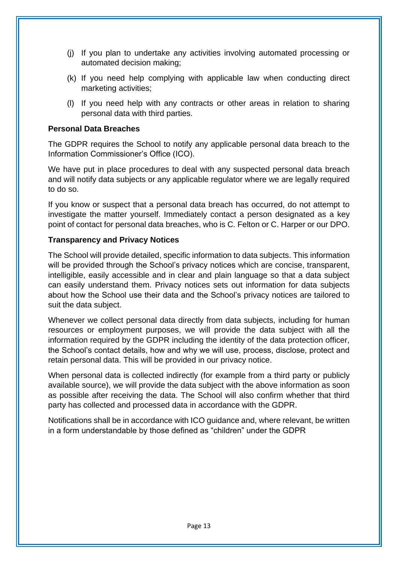- (j) If you plan to undertake any activities involving automated processing or automated decision making;
- (k) If you need help complying with applicable law when conducting direct marketing activities;
- (l) If you need help with any contracts or other areas in relation to sharing personal data with third parties.

#### **Personal Data Breaches**

The GDPR requires the School to notify any applicable personal data breach to the Information Commissioner's Office (ICO).

We have put in place procedures to deal with any suspected personal data breach and will notify data subjects or any applicable regulator where we are legally required to do so.

If you know or suspect that a personal data breach has occurred, do not attempt to investigate the matter yourself. Immediately contact a person designated as a key point of contact for personal data breaches, who is C. Felton or C. Harper or our DPO.

#### **Transparency and Privacy Notices**

The School will provide detailed, specific information to data subjects. This information will be provided through the School's privacy notices which are concise, transparent, intelligible, easily accessible and in clear and plain language so that a data subject can easily understand them. Privacy notices sets out information for data subjects about how the School use their data and the School's privacy notices are tailored to suit the data subject.

Whenever we collect personal data directly from data subjects, including for human resources or employment purposes, we will provide the data subject with all the information required by the GDPR including the identity of the data protection officer, the School's contact details, how and why we will use, process, disclose, protect and retain personal data. This will be provided in our privacy notice.

When personal data is collected indirectly (for example from a third party or publicly available source), we will provide the data subject with the above information as soon as possible after receiving the data. The School will also confirm whether that third party has collected and processed data in accordance with the GDPR.

Notifications shall be in accordance with ICO guidance and, where relevant, be written in a form understandable by those defined as "children" under the GDPR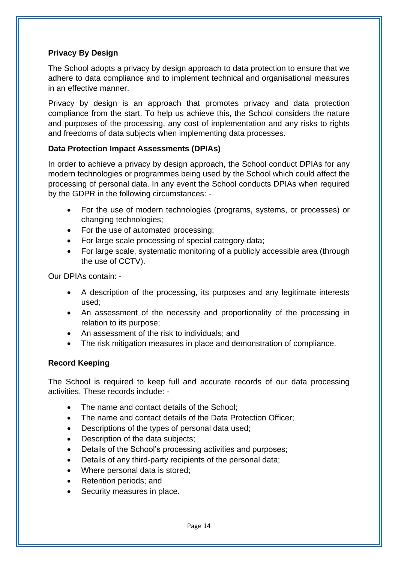#### **Privacy By Design**

The School adopts a privacy by design approach to data protection to ensure that we adhere to data compliance and to implement technical and organisational measures in an effective manner.

Privacy by design is an approach that promotes privacy and data protection compliance from the start. To help us achieve this, the School considers the nature and purposes of the processing, any cost of implementation and any risks to rights and freedoms of data subjects when implementing data processes.

#### **Data Protection Impact Assessments (DPIAs)**

In order to achieve a privacy by design approach, the School conduct DPIAs for any modern technologies or programmes being used by the School which could affect the processing of personal data. In any event the School conducts DPIAs when required by the GDPR in the following circumstances: -

- For the use of modern technologies (programs, systems, or processes) or changing technologies;
- For the use of automated processing;
- For large scale processing of special category data;
- For large scale, systematic monitoring of a publicly accessible area (through the use of CCTV).

Our DPIAs contain: -

- A description of the processing, its purposes and any legitimate interests used;
- An assessment of the necessity and proportionality of the processing in relation to its purpose;
- An assessment of the risk to individuals; and
- The risk mitigation measures in place and demonstration of compliance.

#### **Record Keeping**

The School is required to keep full and accurate records of our data processing activities. These records include: -

- The name and contact details of the School:
- The name and contact details of the Data Protection Officer;
- Descriptions of the types of personal data used;
- Description of the data subjects;
- Details of the School's processing activities and purposes;
- Details of any third-party recipients of the personal data;
- Where personal data is stored;
- Retention periods; and
- Security measures in place.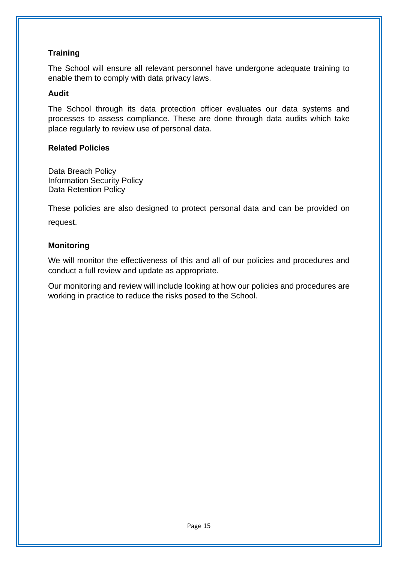#### **Training**

The School will ensure all relevant personnel have undergone adequate training to enable them to comply with data privacy laws.

#### **Audit**

The School through its data protection officer evaluates our data systems and processes to assess compliance. These are done through data audits which take place regularly to review use of personal data.

#### **Related Policies**

Data Breach Policy Information Security Policy Data Retention Policy

These policies are also designed to protect personal data and can be provided on request.

#### **Monitoring**

We will monitor the effectiveness of this and all of our policies and procedures and conduct a full review and update as appropriate.

Our monitoring and review will include looking at how our policies and procedures are working in practice to reduce the risks posed to the School.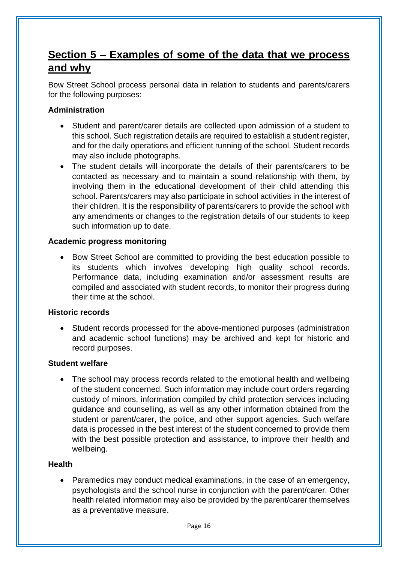# **Section 5 – Examples of some of the data that we process and why**

Bow Street School process personal data in relation to students and parents/carers for the following purposes:

#### **Administration**

- Student and parent/carer details are collected upon admission of a student to this school. Such registration details are required to establish a student register, and for the daily operations and efficient running of the school. Student records may also include photographs.
- The student details will incorporate the details of their parents/carers to be contacted as necessary and to maintain a sound relationship with them, by involving them in the educational development of their child attending this school. Parents/carers may also participate in school activities in the interest of their children. It is the responsibility of parents/carers to provide the school with any amendments or changes to the registration details of our students to keep such information up to date.

#### **Academic progress monitoring**

• Bow Street School are committed to providing the best education possible to its students which involves developing high quality school records. Performance data, including examination and/or assessment results are compiled and associated with student records, to monitor their progress during their time at the school.

#### **Historic records**

• Student records processed for the above-mentioned purposes (administration and academic school functions) may be archived and kept for historic and record purposes.

#### **Student welfare**

• The school may process records related to the emotional health and wellbeing of the student concerned. Such information may include court orders regarding custody of minors, information compiled by child protection services including guidance and counselling, as well as any other information obtained from the student or parent/carer, the police, and other support agencies. Such welfare data is processed in the best interest of the student concerned to provide them with the best possible protection and assistance, to improve their health and wellbeing.

#### **Health**

• Paramedics may conduct medical examinations, in the case of an emergency, psychologists and the school nurse in conjunction with the parent/carer. Other health related information may also be provided by the parent/carer themselves as a preventative measure.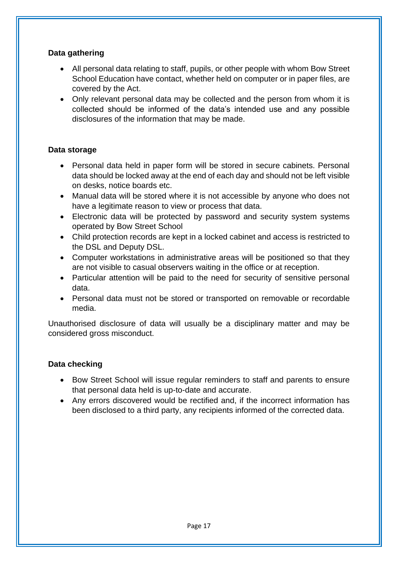#### **Data gathering**

- All personal data relating to staff, pupils, or other people with whom Bow Street School Education have contact, whether held on computer or in paper files, are covered by the Act.
- Only relevant personal data may be collected and the person from whom it is collected should be informed of the data's intended use and any possible disclosures of the information that may be made.

#### **Data storage**

- Personal data held in paper form will be stored in secure cabinets. Personal data should be locked away at the end of each day and should not be left visible on desks, notice boards etc.
- Manual data will be stored where it is not accessible by anyone who does not have a legitimate reason to view or process that data.
- Electronic data will be protected by password and security system systems operated by Bow Street School
- Child protection records are kept in a locked cabinet and access is restricted to the DSL and Deputy DSL.
- Computer workstations in administrative areas will be positioned so that they are not visible to casual observers waiting in the office or at reception.
- Particular attention will be paid to the need for security of sensitive personal data.
- Personal data must not be stored or transported on removable or recordable media.

Unauthorised disclosure of data will usually be a disciplinary matter and may be considered gross misconduct.

#### **Data checking**

- Bow Street School will issue regular reminders to staff and parents to ensure that personal data held is up-to-date and accurate.
- Any errors discovered would be rectified and, if the incorrect information has been disclosed to a third party, any recipients informed of the corrected data.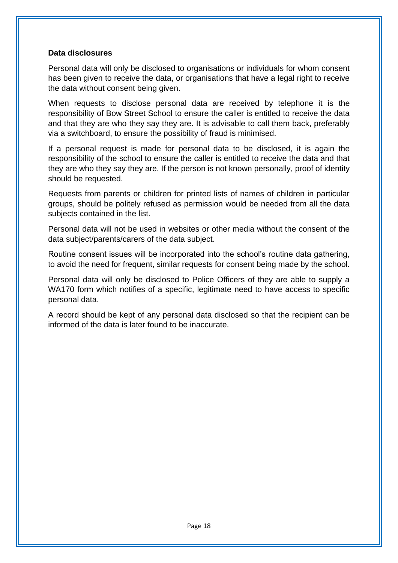#### **Data disclosures**

Personal data will only be disclosed to organisations or individuals for whom consent has been given to receive the data, or organisations that have a legal right to receive the data without consent being given.

When requests to disclose personal data are received by telephone it is the responsibility of Bow Street School to ensure the caller is entitled to receive the data and that they are who they say they are. It is advisable to call them back, preferably via a switchboard, to ensure the possibility of fraud is minimised.

If a personal request is made for personal data to be disclosed, it is again the responsibility of the school to ensure the caller is entitled to receive the data and that they are who they say they are. If the person is not known personally, proof of identity should be requested.

Requests from parents or children for printed lists of names of children in particular groups, should be politely refused as permission would be needed from all the data subjects contained in the list.

Personal data will not be used in websites or other media without the consent of the data subject/parents/carers of the data subject.

Routine consent issues will be incorporated into the school's routine data gathering, to avoid the need for frequent, similar requests for consent being made by the school.

Personal data will only be disclosed to Police Officers of they are able to supply a WA170 form which notifies of a specific, legitimate need to have access to specific personal data.

A record should be kept of any personal data disclosed so that the recipient can be informed of the data is later found to be inaccurate.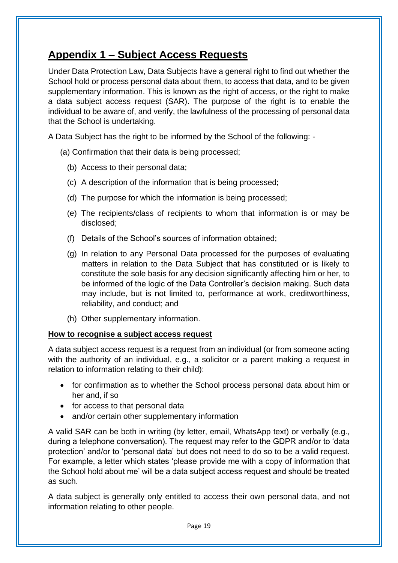# **Appendix 1 – Subject Access Requests**

Under Data Protection Law, Data Subjects have a general right to find out whether the School hold or process personal data about them, to access that data, and to be given supplementary information. This is known as the right of access, or the right to make a data subject access request (SAR). The purpose of the right is to enable the individual to be aware of, and verify, the lawfulness of the processing of personal data that the School is undertaking.

A Data Subject has the right to be informed by the School of the following: -

(a) Confirmation that their data is being processed;

- (b) Access to their personal data;
- (c) A description of the information that is being processed;
- (d) The purpose for which the information is being processed;
- (e) The recipients/class of recipients to whom that information is or may be disclosed;
- (f) Details of the School's sources of information obtained;
- (g) In relation to any Personal Data processed for the purposes of evaluating matters in relation to the Data Subject that has constituted or is likely to constitute the sole basis for any decision significantly affecting him or her, to be informed of the logic of the Data Controller's decision making. Such data may include, but is not limited to, performance at work, creditworthiness, reliability, and conduct; and
- (h) Other supplementary information.

#### **How to recognise a subject access request**

A data subject access request is a request from an individual (or from someone acting with the authority of an individual, e.g., a solicitor or a parent making a request in relation to information relating to their child):

- for confirmation as to whether the School process personal data about him or her and, if so
- for access to that personal data
- and/or certain other supplementary information

A valid SAR can be both in writing (by letter, email, WhatsApp text) or verbally (e.g., during a telephone conversation). The request may refer to the GDPR and/or to 'data protection' and/or to 'personal data' but does not need to do so to be a valid request. For example, a letter which states 'please provide me with a copy of information that the School hold about me' will be a data subject access request and should be treated as such.

A data subject is generally only entitled to access their own personal data, and not information relating to other people.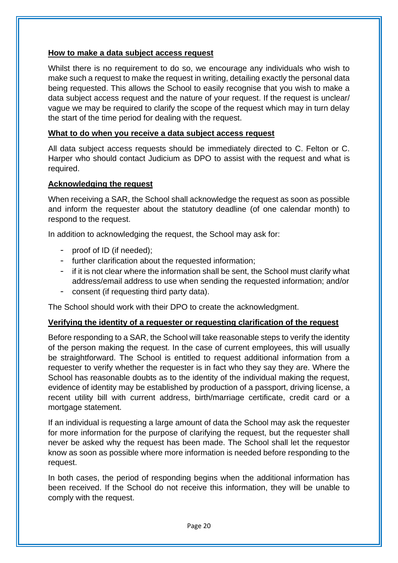#### **How to make a data subject access request**

Whilst there is no requirement to do so, we encourage any individuals who wish to make such a request to make the request in writing, detailing exactly the personal data being requested. This allows the School to easily recognise that you wish to make a data subject access request and the nature of your request. If the request is unclear/ vague we may be required to clarify the scope of the request which may in turn delay the start of the time period for dealing with the request.

#### **What to do when you receive a data subject access request**

All data subject access requests should be immediately directed to C. Felton or C. Harper who should contact Judicium as DPO to assist with the request and what is required.

#### **Acknowledging the request**

When receiving a SAR, the School shall acknowledge the request as soon as possible and inform the requester about the statutory deadline (of one calendar month) to respond to the request.

In addition to acknowledging the request, the School may ask for:

- proof of ID (if needed);
- further clarification about the requested information;
- if it is not clear where the information shall be sent, the School must clarify what address/email address to use when sending the requested information; and/or
- consent (if requesting third party data).

The School should work with their DPO to create the acknowledgment.

#### **Verifying the identity of a requester or requesting clarification of the request**

Before responding to a SAR, the School will take reasonable steps to verify the identity of the person making the request. In the case of current employees, this will usually be straightforward. The School is entitled to request additional information from a requester to verify whether the requester is in fact who they say they are. Where the School has reasonable doubts as to the identity of the individual making the request, evidence of identity may be established by production of a passport, driving license, a recent utility bill with current address, birth/marriage certificate, credit card or a mortgage statement.

If an individual is requesting a large amount of data the School may ask the requester for more information for the purpose of clarifying the request, but the requester shall never be asked why the request has been made. The School shall let the requestor know as soon as possible where more information is needed before responding to the request.

In both cases, the period of responding begins when the additional information has been received. If the School do not receive this information, they will be unable to comply with the request.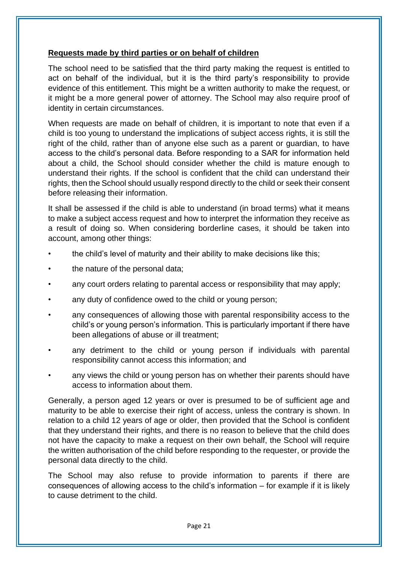#### **Requests made by third parties or on behalf of children**

The school need to be satisfied that the third party making the request is entitled to act on behalf of the individual, but it is the third party's responsibility to provide evidence of this entitlement. This might be a written authority to make the request, or it might be a more general power of attorney. The School may also require proof of identity in certain circumstances.

When requests are made on behalf of children, it is important to note that even if a child is too young to understand the implications of subject access rights, it is still the right of the child, rather than of anyone else such as a parent or guardian, to have access to the child's personal data. Before responding to a SAR for information held about a child, the School should consider whether the child is mature enough to understand their rights. If the school is confident that the child can understand their rights, then the School should usually respond directly to the child or seek their consent before releasing their information.

It shall be assessed if the child is able to understand (in broad terms) what it means to make a subject access request and how to interpret the information they receive as a result of doing so. When considering borderline cases, it should be taken into account, among other things:

- the child's level of maturity and their ability to make decisions like this;
- the nature of the personal data;
- any court orders relating to parental access or responsibility that may apply;
- any duty of confidence owed to the child or young person;
- any consequences of allowing those with parental responsibility access to the child's or young person's information. This is particularly important if there have been allegations of abuse or ill treatment;
- any detriment to the child or young person if individuals with parental responsibility cannot access this information; and
- any views the child or young person has on whether their parents should have access to information about them.

Generally, a person aged 12 years or over is presumed to be of sufficient age and maturity to be able to exercise their right of access, unless the contrary is shown. In relation to a child 12 years of age or older, then provided that the School is confident that they understand their rights, and there is no reason to believe that the child does not have the capacity to make a request on their own behalf, the School will require the written authorisation of the child before responding to the requester, or provide the personal data directly to the child.

The School may also refuse to provide information to parents if there are consequences of allowing access to the child's information – for example if it is likely to cause detriment to the child.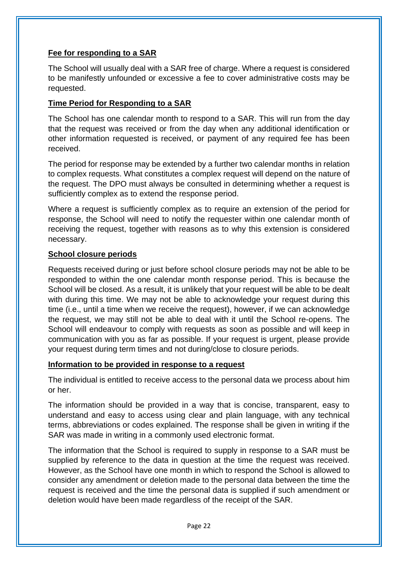#### **Fee for responding to a SAR**

The School will usually deal with a SAR free of charge. Where a request is considered to be manifestly unfounded or excessive a fee to cover administrative costs may be requested.

#### **Time Period for Responding to a SAR**

The School has one calendar month to respond to a SAR. This will run from the day that the request was received or from the day when any additional identification or other information requested is received, or payment of any required fee has been received.

The period for response may be extended by a further two calendar months in relation to complex requests. What constitutes a complex request will depend on the nature of the request. The DPO must always be consulted in determining whether a request is sufficiently complex as to extend the response period.

Where a request is sufficiently complex as to require an extension of the period for response, the School will need to notify the requester within one calendar month of receiving the request, together with reasons as to why this extension is considered necessary.

#### **School closure periods**

Requests received during or just before school closure periods may not be able to be responded to within the one calendar month response period. This is because the School will be closed. As a result, it is unlikely that your request will be able to be dealt with during this time. We may not be able to acknowledge your request during this time (i.e., until a time when we receive the request), however, if we can acknowledge the request, we may still not be able to deal with it until the School re-opens. The School will endeavour to comply with requests as soon as possible and will keep in communication with you as far as possible. If your request is urgent, please provide your request during term times and not during/close to closure periods.

#### **Information to be provided in response to a request**

The individual is entitled to receive access to the personal data we process about him or her.

The information should be provided in a way that is concise, transparent, easy to understand and easy to access using clear and plain language, with any technical terms, abbreviations or codes explained. The response shall be given in writing if the SAR was made in writing in a commonly used electronic format.

The information that the School is required to supply in response to a SAR must be supplied by reference to the data in question at the time the request was received. However, as the School have one month in which to respond the School is allowed to consider any amendment or deletion made to the personal data between the time the request is received and the time the personal data is supplied if such amendment or deletion would have been made regardless of the receipt of the SAR.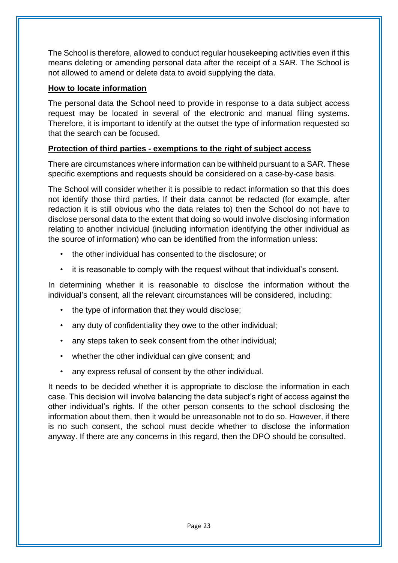The School is therefore, allowed to conduct regular housekeeping activities even if this means deleting or amending personal data after the receipt of a SAR. The School is not allowed to amend or delete data to avoid supplying the data.

#### **How to locate information**

The personal data the School need to provide in response to a data subject access request may be located in several of the electronic and manual filing systems. Therefore, it is important to identify at the outset the type of information requested so that the search can be focused.

#### **Protection of third parties - exemptions to the right of subject access**

There are circumstances where information can be withheld pursuant to a SAR. These specific exemptions and requests should be considered on a case-by-case basis.

The School will consider whether it is possible to redact information so that this does not identify those third parties. If their data cannot be redacted (for example, after redaction it is still obvious who the data relates to) then the School do not have to disclose personal data to the extent that doing so would involve disclosing information relating to another individual (including information identifying the other individual as the source of information) who can be identified from the information unless:

- the other individual has consented to the disclosure; or
- it is reasonable to comply with the request without that individual's consent.

In determining whether it is reasonable to disclose the information without the individual's consent, all the relevant circumstances will be considered, including:

- the type of information that they would disclose;
- any duty of confidentiality they owe to the other individual;
- any steps taken to seek consent from the other individual;
- whether the other individual can give consent; and
- any express refusal of consent by the other individual.

It needs to be decided whether it is appropriate to disclose the information in each case. This decision will involve balancing the data subject's right of access against the other individual's rights. If the other person consents to the school disclosing the information about them, then it would be unreasonable not to do so. However, if there is no such consent, the school must decide whether to disclose the information anyway. If there are any concerns in this regard, then the DPO should be consulted.